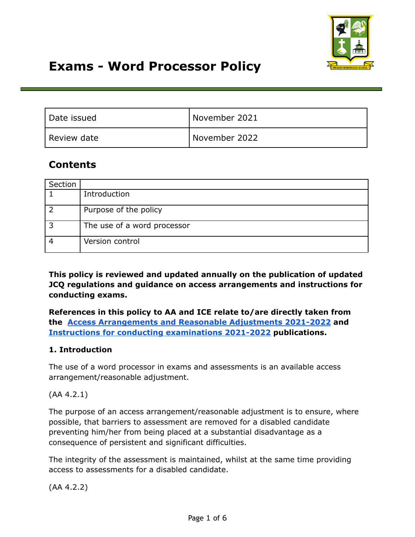

# **Exams - Word Processor Policy**

| Date issued | November 2021 |
|-------------|---------------|
| Review date | November 2022 |

# **Contents**

| Section |                             |
|---------|-----------------------------|
|         | Introduction                |
|         | Purpose of the policy       |
| ີ       | The use of a word processor |
|         | Version control             |

**This policy is reviewed and updated annually on the publication of updated JCQ regulations and guidance on access arrangements and instructions for conducting exams.**

**References in this policy to AA and ICE relate to/are directly taken from the Access [Arrangements](http://www.jcq.org.uk/exams-office/access-arrangements-and-special-consideration/regulations-and-guidance) and Reasonable Adjustments 2021-2022 and Instructions for conducting [examinations](http://www.jcq.org.uk/exams-office/ice---instructions-for-conducting-examinations) 2021-2022 publications.**

### **1. Introduction**

The use of a word processor in exams and assessments is an available access arrangement/reasonable adjustment.

(AA 4.2.1)

The purpose of an access arrangement/reasonable adjustment is to ensure, where possible, that barriers to assessment are removed for a disabled candidate preventing him/her from being placed at a substantial disadvantage as a consequence of persistent and significant difficulties.

The integrity of the assessment is maintained, whilst at the same time providing access to assessments for a disabled candidate.

(AA 4.2.2)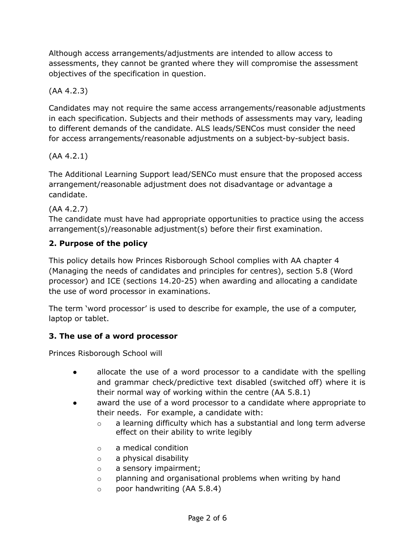Although access arrangements/adjustments are intended to allow access to assessments, they cannot be granted where they will compromise the assessment objectives of the specification in question.

# (AA 4.2.3)

Candidates may not require the same access arrangements/reasonable adjustments in each specification. Subjects and their methods of assessments may vary, leading to different demands of the candidate. ALS leads/SENCos must consider the need for access arrangements/reasonable adjustments on a subject-by-subject basis.

# (AA 4.2.1)

The Additional Learning Support lead/SENCo must ensure that the proposed access arrangement/reasonable adjustment does not disadvantage or advantage a candidate.

# (AA 4.2.7)

The candidate must have had appropriate opportunities to practice using the access arrangement(s)/reasonable adjustment(s) before their first examination.

# **2. Purpose of the policy**

This policy details how Princes Risborough School complies with AA chapter 4 (Managing the needs of candidates and principles for centres), section 5.8 (Word processor) and ICE (sections 14.20-25) when awarding and allocating a candidate the use of word processor in examinations.

The term 'word processor' is used to describe for example, the use of a computer, laptop or tablet.

# **3. The use of a word processor**

Princes Risborough School will

- allocate the use of a word processor to a candidate with the spelling and grammar check/predictive text disabled (switched off) where it is their normal way of working within the centre (AA 5.8.1)
- award the use of a word processor to a candidate where appropriate to their needs. For example, a candidate with:
	- o a learning difficulty which has a substantial and long term adverse effect on their ability to write legibly
	- o a medical condition
	- o a physical disability
	- o a sensory impairment;
	- o planning and organisational problems when writing by hand
	- o poor handwriting (AA 5.8.4)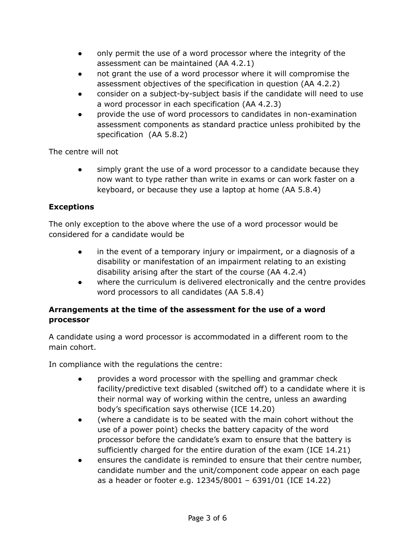- only permit the use of a word processor where the integrity of the assessment can be maintained (AA 4.2.1)
- not grant the use of a word processor where it will compromise the assessment objectives of the specification in question (AA 4.2.2)
- consider on a subject-by-subject basis if the candidate will need to use a word processor in each specification (AA 4.2.3)
- provide the use of word processors to candidates in non-examination assessment components as standard practice unless prohibited by the specification (AA 5.8.2)

The centre will not

simply grant the use of a word processor to a candidate because they now want to type rather than write in exams or can work faster on a keyboard, or because they use a laptop at home (AA 5.8.4)

# **Exceptions**

The only exception to the above where the use of a word processor would be considered for a candidate would be

- in the event of a temporary injury or impairment, or a diagnosis of a disability or manifestation of an impairment relating to an existing disability arising after the start of the course (AA 4.2.4)
- where the curriculum is delivered electronically and the centre provides word processors to all candidates (AA 5.8.4)

# **Arrangements at the time of the assessment for the use of a word processor**

A candidate using a word processor is accommodated in a different room to the main cohort.

In compliance with the regulations the centre:

- provides a word processor with the spelling and grammar check facility/predictive text disabled (switched off) to a candidate where it is their normal way of working within the centre, unless an awarding body's specification says otherwise (ICE 14.20)
- (where a candidate is to be seated with the main cohort without the use of a power point) checks the battery capacity of the word processor before the candidate's exam to ensure that the battery is sufficiently charged for the entire duration of the exam (ICE 14.21)
- ensures the candidate is reminded to ensure that their centre number, candidate number and the unit/component code appear on each page as a header or footer e.g. 12345/8001 – 6391/01 (ICE 14.22)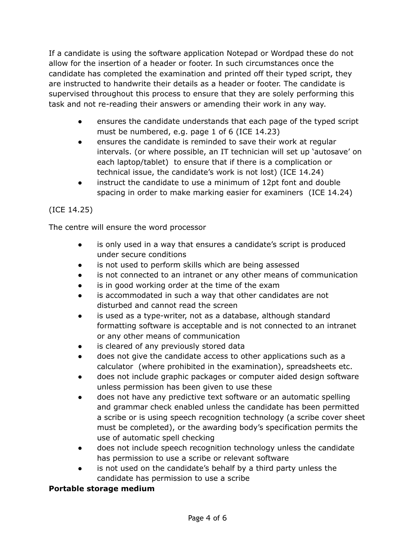If a candidate is using the software application Notepad or Wordpad these do not allow for the insertion of a header or footer. In such circumstances once the candidate has completed the examination and printed off their typed script, they are instructed to handwrite their details as a header or footer. The candidate is supervised throughout this process to ensure that they are solely performing this task and not re-reading their answers or amending their work in any way.

- ensures the candidate understands that each page of the typed script must be numbered, e.g. page 1 of 6 (ICE 14.23)
- ensures the candidate is reminded to save their work at regular intervals. (or where possible, an IT technician will set up 'autosave' on each laptop/tablet) to ensure that if there is a complication or technical issue, the candidate's work is not lost) (ICE 14.24)
- instruct the candidate to use a minimum of 12pt font and double spacing in order to make marking easier for examiners (ICE 14.24)

# (ICE 14.25)

The centre will ensure the word processor

- is only used in a way that ensures a candidate's script is produced under secure conditions
- is not used to perform skills which are being assessed
- is not connected to an intranet or any other means of communication
- is in good working order at the time of the exam
- is accommodated in such a way that other candidates are not disturbed and cannot read the screen
- is used as a type-writer, not as a database, although standard formatting software is acceptable and is not connected to an intranet or any other means of communication
- is cleared of any previously stored data
- does not give the candidate access to other applications such as a calculator (where prohibited in the examination), spreadsheets etc.
- does not include graphic packages or computer aided design software unless permission has been given to use these
- does not have any predictive text software or an automatic spelling and grammar check enabled unless the candidate has been permitted a scribe or is using speech recognition technology (a scribe cover sheet must be completed), or the awarding body's specification permits the use of automatic spell checking
- does not include speech recognition technology unless the candidate has permission to use a scribe or relevant software
- is not used on the candidate's behalf by a third party unless the candidate has permission to use a scribe

# **Portable storage medium**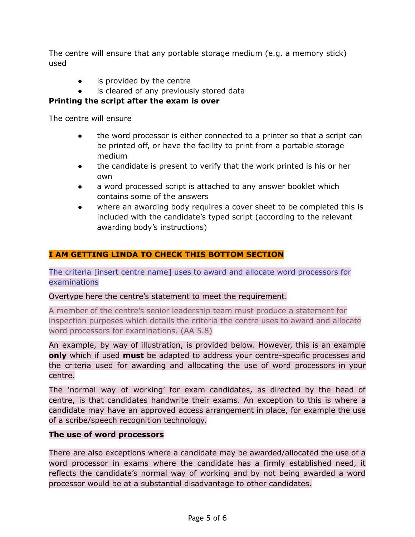The centre will ensure that any portable storage medium (e.g. a memory stick) used

- is provided by the centre
- is cleared of any previously stored data

### **Printing the script after the exam is over**

The centre will ensure

- the word processor is either connected to a printer so that a script can be printed off, or have the facility to print from a portable storage medium
- the candidate is present to verify that the work printed is his or her own
- a word processed script is attached to any answer booklet which contains some of the answers
- where an awarding body requires a cover sheet to be completed this is included with the candidate's typed script (according to the relevant awarding body's instructions)

# **I AM GETTING LINDA TO CHECK THIS BOTTOM SECTION**

The criteria [insert centre name] uses to award and allocate word processors for examinations

#### Overtype here the centre's statement to meet the requirement.

A member of the centre's senior leadership team must produce a statement for inspection purposes which details the criteria the centre uses to award and allocate word processors for examinations. (AA 5.8)

An example, by way of illustration, is provided below. However, this is an example **only** which if used **must** be adapted to address your centre-specific processes and the criteria used for awarding and allocating the use of word processors in your centre.

The 'normal way of working' for exam candidates, as directed by the head of centre, is that candidates handwrite their exams. An exception to this is where a candidate may have an approved access arrangement in place, for example the use of a scribe/speech recognition technology.

#### **The use of word processors**

There are also exceptions where a candidate may be awarded/allocated the use of a word processor in exams where the candidate has a firmly established need, it reflects the candidate's normal way of working and by not being awarded a word processor would be at a substantial disadvantage to other candidates.